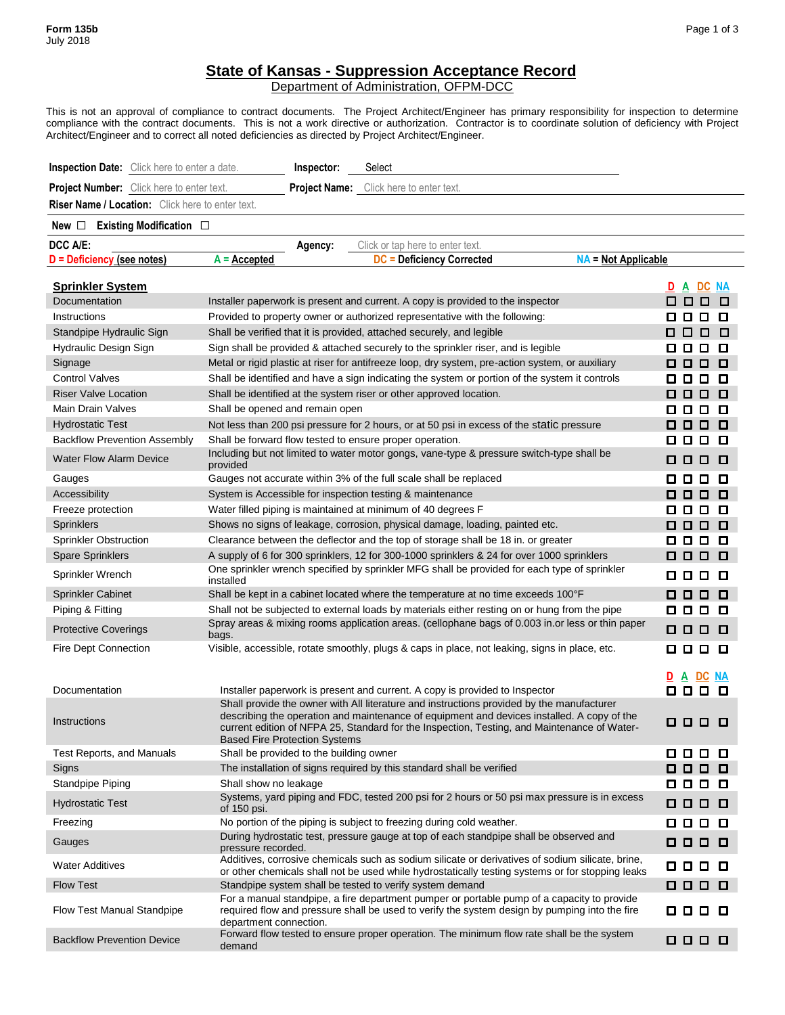## **State of Kansas - Suppression Acceptance Record**

Department of Administration, OFPM-DCC

This is not an approval of compliance to contract documents. The Project Architect/Engineer has primary responsibility for inspection to determine compliance with the contract documents. This is not a work directive or authorization. Contractor is to coordinate solution of deficiency with Project Architect/Engineer and to correct all noted deficiencies as directed by Project Architect/Engineer.

| <b>Inspection Date:</b> Click here to enter a date.     | Inspector:<br>Select                                                                                                                                                                                                                                                                                                           |                                   |
|---------------------------------------------------------|--------------------------------------------------------------------------------------------------------------------------------------------------------------------------------------------------------------------------------------------------------------------------------------------------------------------------------|-----------------------------------|
| Project Number: Click here to enter text.               | <b>Project Name:</b> Click here to enter text.                                                                                                                                                                                                                                                                                 |                                   |
| <b>Riser Name / Location:</b> Click here to enter text. |                                                                                                                                                                                                                                                                                                                                |                                   |
| Existing Modification □<br>New $\Box$                   |                                                                                                                                                                                                                                                                                                                                |                                   |
| DCC A/E:                                                | Click or tap here to enter text.<br>Agency:                                                                                                                                                                                                                                                                                    |                                   |
| D = Deficiency (see notes)                              | <b>DC = Deficiency Corrected</b><br>$A =$ Accepted                                                                                                                                                                                                                                                                             | <b>NA = Not Applicable</b>        |
|                                                         |                                                                                                                                                                                                                                                                                                                                |                                   |
| <b>Sprinkler System</b><br>Documentation                | Installer paperwork is present and current. A copy is provided to the inspector                                                                                                                                                                                                                                                | A DC NA<br>000                    |
| Instructions                                            | Provided to property owner or authorized representative with the following:                                                                                                                                                                                                                                                    | □<br>0 0 0 0                      |
| Standpipe Hydraulic Sign                                | Shall be verified that it is provided, attached securely, and legible                                                                                                                                                                                                                                                          | 0000                              |
| Hydraulic Design Sign                                   | Sign shall be provided & attached securely to the sprinkler riser, and is legible                                                                                                                                                                                                                                              | 0<br>888.                         |
| Signage                                                 | Metal or rigid plastic at riser for antifreeze loop, dry system, pre-action system, or auxiliary                                                                                                                                                                                                                               | 000.<br>O                         |
| <b>Control Valves</b>                                   | Shall be identified and have a sign indicating the system or portion of the system it controls                                                                                                                                                                                                                                 | 0 0 0 0                           |
| <b>Riser Valve Location</b>                             | Shall be identified at the system riser or other approved location.                                                                                                                                                                                                                                                            | 888.<br>O                         |
| <b>Main Drain Valves</b>                                | Shall be opened and remain open                                                                                                                                                                                                                                                                                                | 8888                              |
| <b>Hydrostatic Test</b>                                 | Not less than 200 psi pressure for 2 hours, or at 50 psi in excess of the static pressure                                                                                                                                                                                                                                      | 8888                              |
| <b>Backflow Prevention Assembly</b>                     | Shall be forward flow tested to ensure proper operation.                                                                                                                                                                                                                                                                       | 0 0 0 0                           |
| <b>Water Flow Alarm Device</b>                          | Including but not limited to water motor gongs, vane-type & pressure switch-type shall be<br>provided                                                                                                                                                                                                                          | 0 0 0 0                           |
| Gauges                                                  | Gauges not accurate within 3% of the full scale shall be replaced                                                                                                                                                                                                                                                              | 888<br>0                          |
| Accessibility                                           | System is Accessible for inspection testing & maintenance                                                                                                                                                                                                                                                                      | 000<br>□                          |
| Freeze protection                                       | Water filled piping is maintained at minimum of 40 degrees F                                                                                                                                                                                                                                                                   | 888<br>0                          |
| <b>Sprinklers</b>                                       | Shows no signs of leakage, corrosion, physical damage, loading, painted etc.                                                                                                                                                                                                                                                   | 888<br>□                          |
| <b>Sprinkler Obstruction</b>                            | Clearance between the deflector and the top of storage shall be 18 in. or greater                                                                                                                                                                                                                                              | 000.<br>□                         |
| <b>Spare Sprinklers</b>                                 | A supply of 6 for 300 sprinklers, 12 for 300-1000 sprinklers & 24 for over 1000 sprinklers                                                                                                                                                                                                                                     | 000 O                             |
| Sprinkler Wrench                                        | One sprinkler wrench specified by sprinkler MFG shall be provided for each type of sprinkler<br>installed                                                                                                                                                                                                                      | 000 O                             |
| Sprinkler Cabinet                                       | Shall be kept in a cabinet located where the temperature at no time exceeds 100°F                                                                                                                                                                                                                                              | 000<br>o                          |
| Piping & Fitting                                        | Shall not be subjected to external loads by materials either resting on or hung from the pipe                                                                                                                                                                                                                                  | 000 C<br>0                        |
| <b>Protective Coverings</b>                             | Spray areas & mixing rooms application areas. (cellophane bags of 0.003 in.or less or thin paper<br>bags.                                                                                                                                                                                                                      | 000 O                             |
| Fire Dept Connection                                    | Visible, accessible, rotate smoothly, plugs & caps in place, not leaking, signs in place, etc.                                                                                                                                                                                                                                 | O 0 :<br>0 O                      |
|                                                         |                                                                                                                                                                                                                                                                                                                                | <b>DC NA</b><br>D<br>$\mathbf{A}$ |
| Documentation                                           | Installer paperwork is present and current. A copy is provided to Inspector                                                                                                                                                                                                                                                    | 0 0 0 0                           |
| Instructions                                            | Shall provide the owner with All literature and instructions provided by the manufacturer<br>describing the operation and maintenance of equipment and devices installed. A copy of the<br>current edition of NFPA 25, Standard for the Inspection, Testing, and Maintenance of Water-<br><b>Based Fire Protection Systems</b> | 000 O                             |
| <b>Test Reports, and Manuals</b>                        | Shall be provided to the building owner                                                                                                                                                                                                                                                                                        | 0 0 0 0                           |
| Signs                                                   | The installation of signs required by this standard shall be verified                                                                                                                                                                                                                                                          | 000 C<br>O                        |
| Standpipe Piping                                        | Shall show no leakage                                                                                                                                                                                                                                                                                                          | 0 0 0 0                           |
| <b>Hydrostatic Test</b>                                 | Systems, yard piping and FDC, tested 200 psi for 2 hours or 50 psi max pressure is in excess<br>of 150 psi.                                                                                                                                                                                                                    | 000<br>O                          |
| Freezing                                                | No portion of the piping is subject to freezing during cold weather.                                                                                                                                                                                                                                                           | 0 0 0 0                           |
| Gauges                                                  | During hydrostatic test, pressure gauge at top of each standpipe shall be observed and<br>pressure recorded.                                                                                                                                                                                                                   | 000<br>O                          |
| <b>Water Additives</b>                                  | Additives, corrosive chemicals such as sodium silicate or derivatives of sodium silicate, brine,<br>or other chemicals shall not be used while hydrostatically testing systems or for stopping leaks                                                                                                                           | 000 O                             |
| <b>Flow Test</b>                                        | Standpipe system shall be tested to verify system demand                                                                                                                                                                                                                                                                       | 000 O                             |
| Flow Test Manual Standpipe                              | For a manual standpipe, a fire department pumper or portable pump of a capacity to provide<br>required flow and pressure shall be used to verify the system design by pumping into the fire<br>department connection.                                                                                                          | 000 O                             |
| <b>Backflow Prevention Device</b>                       | Forward flow tested to ensure proper operation. The minimum flow rate shall be the system<br>demand                                                                                                                                                                                                                            | 000<br>$\Box$                     |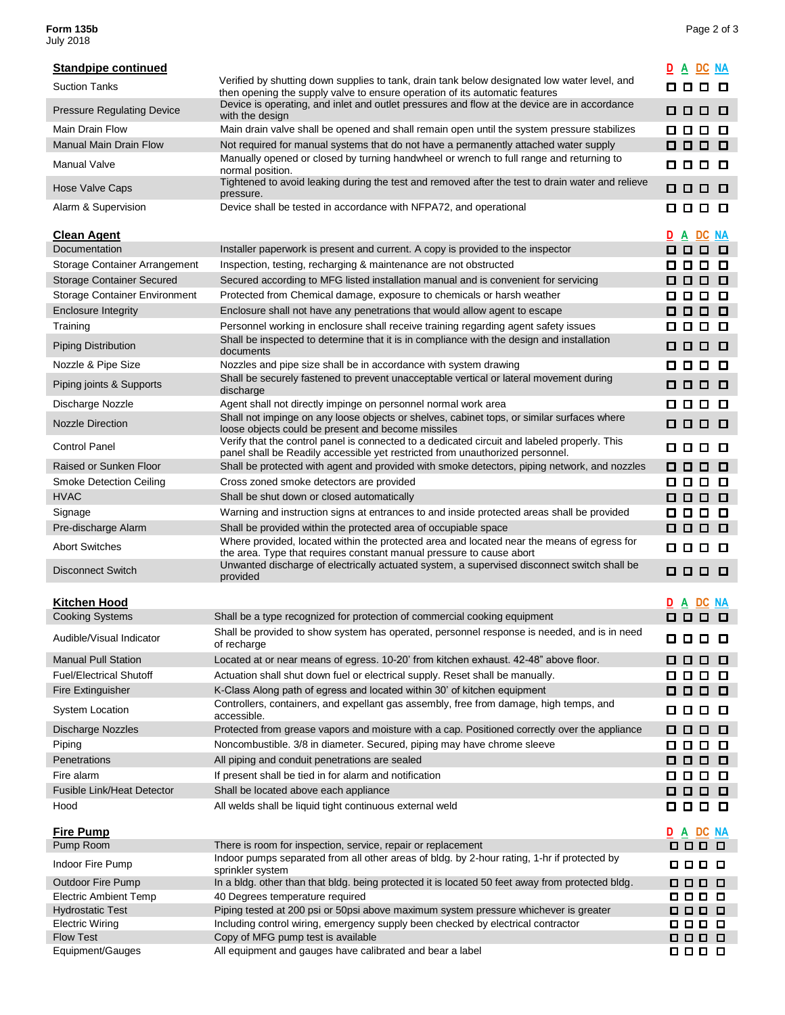## **Form 135b** Page 2 of 3 **Form 135b**<br>July 2018

| <b>Standpipe continued</b>                       |                                                                                                                                                                               | D A DC NA                    |
|--------------------------------------------------|-------------------------------------------------------------------------------------------------------------------------------------------------------------------------------|------------------------------|
| <b>Suction Tanks</b>                             | Verified by shutting down supplies to tank, drain tank below designated low water level, and                                                                                  | 0 0 0 0                      |
| <b>Pressure Regulating Device</b>                | then opening the supply valve to ensure operation of its automatic features<br>Device is operating, and inlet and outlet pressures and flow at the device are in accordance   | 000 L<br>O                   |
| Main Drain Flow                                  | with the design<br>Main drain valve shall be opened and shall remain open until the system pressure stabilizes                                                                | 8888                         |
| <b>Manual Main Drain Flow</b>                    | Not required for manual systems that do not have a permanently attached water supply                                                                                          | 0 0 0<br>o                   |
| Manual Valve                                     | Manually opened or closed by turning handwheel or wrench to full range and returning to<br>normal position.                                                                   | 000 O                        |
| <b>Hose Valve Caps</b>                           | Tightened to avoid leaking during the test and removed after the test to drain water and relieve<br>pressure.                                                                 | 000 L<br>O                   |
| Alarm & Supervision                              | Device shall be tested in accordance with NFPA72, and operational                                                                                                             | 0 0 0 0                      |
| <b>Clean Agent</b>                               |                                                                                                                                                                               | D A DC NA                    |
| Documentation                                    | Installer paperwork is present and current. A copy is provided to the inspector                                                                                               | 000 L<br>o                   |
| Storage Container Arrangement                    | Inspection, testing, recharging & maintenance are not obstructed                                                                                                              | 0 0 0 0                      |
| <b>Storage Container Secured</b>                 | Secured according to MFG listed installation manual and is convenient for servicing                                                                                           | 000 L<br>0                   |
| <b>Storage Container Environment</b>             | Protected from Chemical damage, exposure to chemicals or harsh weather                                                                                                        | 0 0 0 0                      |
| <b>Enclosure Integrity</b>                       | Enclosure shall not have any penetrations that would allow agent to escape                                                                                                    | 000 L<br>O                   |
| Training                                         | Personnel working in enclosure shall receive training regarding agent safety issues                                                                                           | 000 O                        |
| <b>Piping Distribution</b>                       | Shall be inspected to determine that it is in compliance with the design and installation                                                                                     | 000 Q<br>□                   |
|                                                  | documents                                                                                                                                                                     |                              |
| Nozzle & Pipe Size                               | Nozzles and pipe size shall be in accordance with system drawing<br>Shall be securely fastened to prevent unacceptable vertical or lateral movement during                    | 0 0 0 0                      |
| Piping joints & Supports                         | discharge                                                                                                                                                                     | 000 O                        |
| Discharge Nozzle                                 | Agent shall not directly impinge on personnel normal work area                                                                                                                | 0 0 0<br>O                   |
| <b>Nozzle Direction</b>                          | Shall not impinge on any loose objects or shelves, cabinet tops, or similar surfaces where<br>loose objects could be present and become missiles                              | 0 0 0 0                      |
| <b>Control Panel</b>                             | Verify that the control panel is connected to a dedicated circuit and labeled properly. This<br>panel shall be Readily accessible yet restricted from unauthorized personnel. | 000 O                        |
| Raised or Sunken Floor                           | Shall be protected with agent and provided with smoke detectors, piping network, and nozzles                                                                                  | 000 C<br>O                   |
| <b>Smoke Detection Ceiling</b>                   | Cross zoned smoke detectors are provided                                                                                                                                      | 000 O                        |
| <b>HVAC</b>                                      | Shall be shut down or closed automatically                                                                                                                                    | 000 L<br>o                   |
| Signage                                          | Warning and instruction signs at entrances to and inside protected areas shall be provided                                                                                    | 0 0 0 0                      |
| Pre-discharge Alarm                              | Shall be provided within the protected area of occupiable space                                                                                                               | 0 0 0 0                      |
| <b>Abort Switches</b>                            | Where provided, located within the protected area and located near the means of egress for<br>the area. Type that requires constant manual pressure to cause abort            | 0 0 0 0                      |
| <b>Disconnect Switch</b>                         | Unwanted discharge of electrically actuated system, a supervised disconnect switch shall be<br>provided                                                                       | 0 0 0 0                      |
|                                                  |                                                                                                                                                                               |                              |
| <b>Kitchen Hood</b>                              |                                                                                                                                                                               | DC<br><b>NA</b><br><u>DA</u> |
| <b>Cooking Systems</b>                           | Shall be a type recognized for protection of commercial cooking equipment                                                                                                     | 000 C<br>O                   |
| Audible/Visual Indicator                         | Shall be provided to show system has operated, personnel response is needed, and is in need<br>of recharge                                                                    | 0 0 0 0                      |
| <b>Manual Pull Station</b>                       | Located at or near means of egress. 10-20' from kitchen exhaust. 42-48" above floor.                                                                                          | 0 0 0<br>o                   |
| <b>Fuel/Electrical Shutoff</b>                   | Actuation shall shut down fuel or electrical supply. Reset shall be manually.                                                                                                 | 0 0 0 0                      |
| Fire Extinguisher                                | K-Class Along path of egress and located within 30' of kitchen equipment                                                                                                      | 0 0 0 0                      |
| System Location                                  | Controllers, containers, and expellant gas assembly, free from damage, high temps, and<br>accessible.                                                                         | 0 0 0 0                      |
| <b>Discharge Nozzles</b>                         | Protected from grease vapors and moisture with a cap. Positioned correctly over the appliance                                                                                 | 000<br>0                     |
| Piping                                           | Noncombustible. 3/8 in diameter. Secured, piping may have chrome sleeve                                                                                                       | 0 0 0 0                      |
| Penetrations                                     | All piping and conduit penetrations are sealed                                                                                                                                | 000 O                        |
| Fire alarm                                       | If present shall be tied in for alarm and notification                                                                                                                        | 000 O                        |
| Fusible Link/Heat Detector                       | Shall be located above each appliance                                                                                                                                         | 0 0 0 0                      |
| Hood                                             | All welds shall be liquid tight continuous external weld                                                                                                                      | 0 0 0 0                      |
| <b>Fire Pump</b>                                 |                                                                                                                                                                               | <u>D A DC NA</u>             |
| Pump Room                                        | There is room for inspection, service, repair or replacement                                                                                                                  | 000 O                        |
| Indoor Fire Pump                                 | Indoor pumps separated from all other areas of bldg. by 2-hour rating, 1-hr if protected by<br>sprinkler system                                                               | 000 O                        |
| Outdoor Fire Pump                                | In a bldg. other than that bldg. being protected it is located 50 feet away from protected bldg.                                                                              | ם ם ם ם                      |
| Electric Ambient Temp<br><b>Hydrostatic Test</b> | 40 Degrees temperature required<br>Piping tested at 200 psi or 50psi above maximum system pressure whichever is greater                                                       | 000 O<br>000 O               |
| Electric Wiring                                  | Including control wiring, emergency supply been checked by electrical contractor                                                                                              | 000 O                        |
| <b>Flow Test</b>                                 | Copy of MFG pump test is available                                                                                                                                            | 000 O                        |
| Equipment/Gauges                                 | All equipment and gauges have calibrated and bear a label                                                                                                                     | 000 O                        |